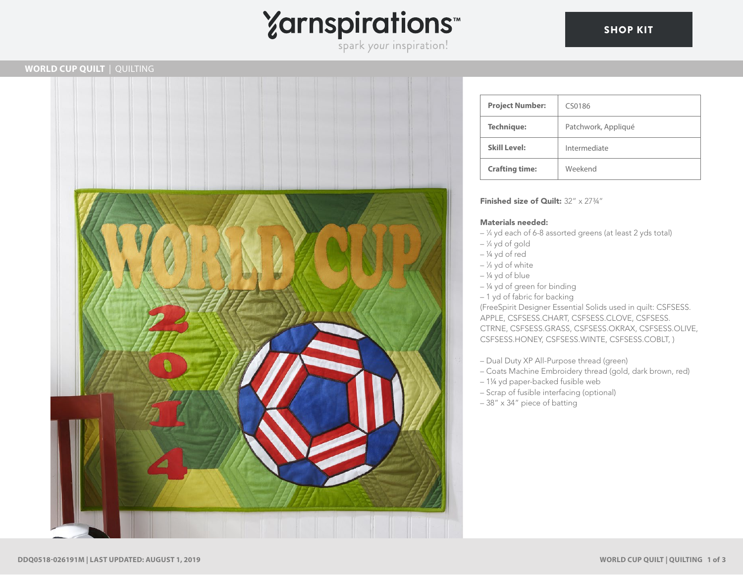

## **WORLD CUP QUILT** | QUILTING



| <b>Project Number:</b> | CS0186              |
|------------------------|---------------------|
| <b>Technique:</b>      | Patchwork, Appliqué |
| <b>Skill Level:</b>    | Intermediate        |
| <b>Crafting time:</b>  | Weekend             |

### Finished size of Quilt: 32" x 2734"

### Materials needed:

- <sup>1</sup> ⁄4 yd each of 6-8 assorted greens (at least 2 yds total)
- <sup>1</sup> ⁄4 yd of gold
- ¼ yd of red
- <sup>1</sup> ⁄8 yd of white
- $-$  ¼ yd of blue
- ¼ yd of green for binding
- 1 yd of fabric for backing

(FreeSpirit Designer Essential Solids used in quilt: CSFSESS. APPLE, CSFSESS.CHART, CSFSESS.CLOVE, CSFSESS. CTRNE, CSFSESS.GRASS, CSFSESS.OKRAX, CSFSESS.OLIVE, CSFSESS.HONEY, CSFSESS.WINTE, CSFSESS.COBLT, )

- Dual Duty XP All-Purpose thread (green)
- Coats Machine Embroidery thread (gold, dark brown, red)
- 1¼ yd paper-backed fusible web
- Scrap of fusible interfacing (optional)
- 38" x 34" piece of batting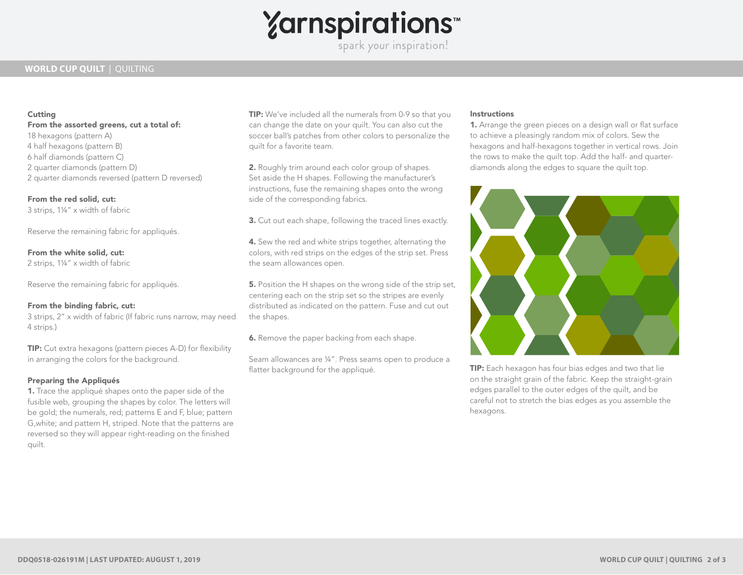

spark your inspiration!

## **WORLD CUP QUILT** | QUILTING

### **Cutting**

From the assorted greens, cut a total of: 18 hexagons (pattern A) 4 half hexagons (pattern B) 6 half diamonds (pattern C) 2 quarter diamonds (pattern D) 2 quarter diamonds reversed (pattern D reversed)

# From the red solid, cut:

3 strips, 1¼" x width of fabric

Reserve the remaining fabric for appliqués.

From the white solid, cut: 2 strips, 1¼" x width of fabric

Reserve the remaining fabric for appliqués.

### From the binding fabric, cut:

3 strips, 2" x width of fabric (If fabric runs narrow, may need 4 strips.)

TIP: Cut extra hexagons (pattern pieces A-D) for flexibility in arranging the colors for the background.

### Preparing the Appliqués

1. Trace the appliqué shapes onto the paper side of the fusible web, grouping the shapes by color. The letters will be gold; the numerals, red; patterns E and F, blue; pattern G,white; and pattern H, striped. Note that the patterns are reversed so they will appear right-reading on the finished quilt.

TIP: We've included all the numerals from 0-9 so that you can change the date on your quilt. You can also cut the soccer ball's patches from other colors to personalize the quilt for a favorite team.

2. Roughly trim around each color group of shapes. Set aside the H shapes. Following the manufacturer's instructions, fuse the remaining shapes onto the wrong side of the corresponding fabrics.

3. Cut out each shape, following the traced lines exactly.

4. Sew the red and white strips together, alternating the colors, with red strips on the edges of the strip set. Press the seam allowances open.

**5.** Position the H shapes on the wrong side of the strip set, centering each on the strip set so the stripes are evenly distributed as indicated on the pattern. Fuse and cut out the shapes.

**6.** Remove the paper backing from each shape.

Seam allowances are ¼". Press seams open to produce a flatter background for the appliqué.

### **Instructions**

1. Arrange the green pieces on a design wall or flat surface to achieve a pleasingly random mix of colors. Sew the hexagons and half-hexagons together in vertical rows. Join the rows to make the quilt top. Add the half- and quarterdiamonds along the edges to square the quilt top.



TIP: Each hexagon has four bias edges and two that lie on the straight grain of the fabric. Keep the straight-grain edges parallel to the outer edges of the quilt, and be careful not to stretch the bias edges as you assemble the hexagons.